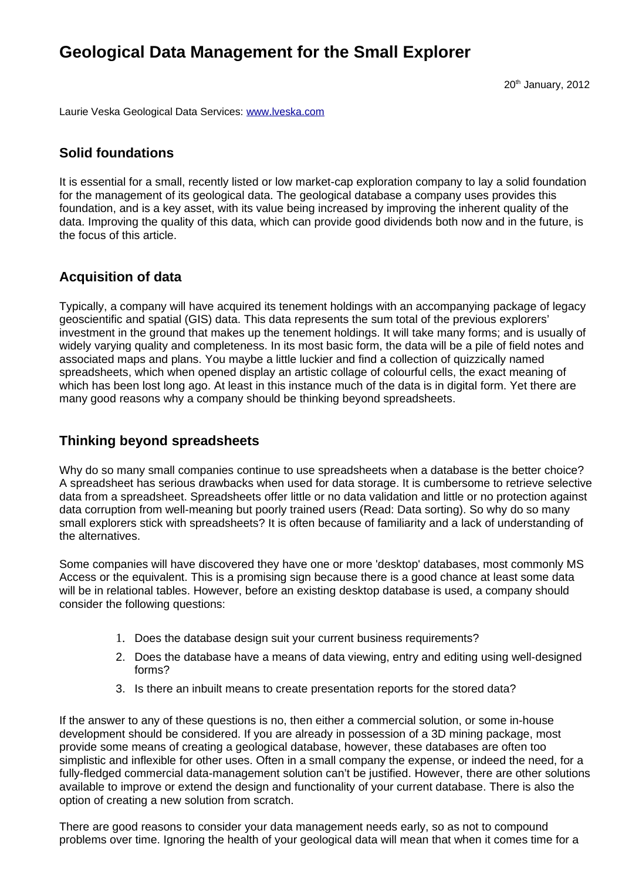# **Geological Data Management for the Small Explorer**

20<sup>th</sup> January, 2012

Laurie Veska Geological Data Services: [www.lveska.com](http://www.lveska.com/)

# **Solid foundations**

It is essential for a small, recently listed or low market-cap exploration company to lay a solid foundation for the management of its geological data. The geological database a company uses provides this foundation, and is a key asset, with its value being increased by improving the inherent quality of the data. Improving the quality of this data, which can provide good dividends both now and in the future, is the focus of this article.

# **Acquisition of data**

Typically, a company will have acquired its tenement holdings with an accompanying package of legacy geoscientific and spatial (GIS) data. This data represents the sum total of the previous explorers' investment in the ground that makes up the tenement holdings. It will take many forms; and is usually of widely varying quality and completeness. In its most basic form, the data will be a pile of field notes and associated maps and plans. You maybe a little luckier and find a collection of quizzically named spreadsheets, which when opened display an artistic collage of colourful cells, the exact meaning of which has been lost long ago. At least in this instance much of the data is in digital form. Yet there are many good reasons why a company should be thinking beyond spreadsheets.

# **Thinking beyond spreadsheets**

Why do so many small companies continue to use spreadsheets when a database is the better choice? A spreadsheet has serious drawbacks when used for data storage. It is cumbersome to retrieve selective data from a spreadsheet. Spreadsheets offer little or no data validation and little or no protection against data corruption from well-meaning but poorly trained users (Read: Data sorting). So why do so many small explorers stick with spreadsheets? It is often because of familiarity and a lack of understanding of the alternatives.

Some companies will have discovered they have one or more 'desktop' databases, most commonly MS Access or the equivalent. This is a promising sign because there is a good chance at least some data will be in relational tables. However, before an existing desktop database is used, a company should consider the following questions:

- 1. Does the database design suit your current business requirements?
- 2. Does the database have a means of data viewing, entry and editing using well-designed forms?
- 3. Is there an inbuilt means to create presentation reports for the stored data?

If the answer to any of these questions is no, then either a commercial solution, or some in-house development should be considered. If you are already in possession of a 3D mining package, most provide some means of creating a geological database, however, these databases are often too simplistic and inflexible for other uses. Often in a small company the expense, or indeed the need, for a fully-fledged commercial data-management solution can't be justified. However, there are other solutions available to improve or extend the design and functionality of your current database. There is also the option of creating a new solution from scratch.

There are good reasons to consider your data management needs early, so as not to compound problems over time. Ignoring the health of your geological data will mean that when it comes time for a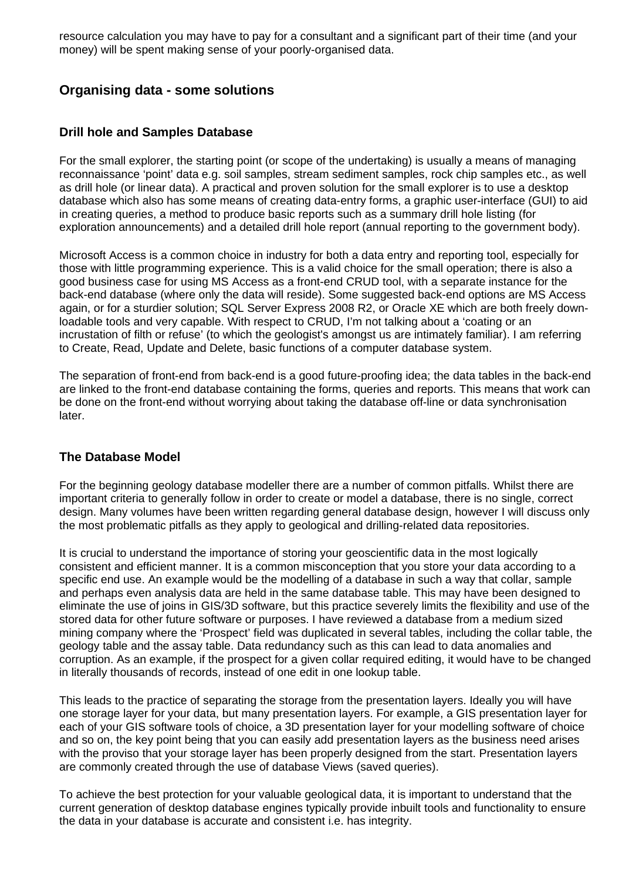resource calculation you may have to pay for a consultant and a significant part of their time (and your money) will be spent making sense of your poorly-organised data.

# **Organising data - some solutions**

### **Drill hole and Samples Database**

For the small explorer, the starting point (or scope of the undertaking) is usually a means of managing reconnaissance 'point' data e.g. soil samples, stream sediment samples, rock chip samples etc., as well as drill hole (or linear data). A practical and proven solution for the small explorer is to use a desktop database which also has some means of creating data-entry forms, a graphic user-interface (GUI) to aid in creating queries, a method to produce basic reports such as a summary drill hole listing (for exploration announcements) and a detailed drill hole report (annual reporting to the government body).

Microsoft Access is a common choice in industry for both a data entry and reporting tool, especially for those with little programming experience. This is a valid choice for the small operation; there is also a good business case for using MS Access as a front-end CRUD tool, with a separate instance for the back-end database (where only the data will reside). Some suggested back-end options are MS Access again, or for a sturdier solution; SQL Server Express 2008 R2, or Oracle XE which are both freely downloadable tools and very capable. With respect to CRUD, I'm not talking about a 'coating or an incrustation of filth or refuse' (to which the geologist's amongst us are intimately familiar). I am referring to Create, Read, Update and Delete, basic functions of a computer database system.

The separation of front-end from back-end is a good future-proofing idea; the data tables in the back-end are linked to the front-end database containing the forms, queries and reports. This means that work can be done on the front-end without worrying about taking the database off-line or data synchronisation later.

#### **The Database Model**

For the beginning geology database modeller there are a number of common pitfalls. Whilst there are important criteria to generally follow in order to create or model a database, there is no single, correct design. Many volumes have been written regarding general database design, however I will discuss only the most problematic pitfalls as they apply to geological and drilling-related data repositories.

It is crucial to understand the importance of storing your geoscientific data in the most logically consistent and efficient manner. It is a common misconception that you store your data according to a specific end use. An example would be the modelling of a database in such a way that collar, sample and perhaps even analysis data are held in the same database table. This may have been designed to eliminate the use of joins in GIS/3D software, but this practice severely limits the flexibility and use of the stored data for other future software or purposes. I have reviewed a database from a medium sized mining company where the 'Prospect' field was duplicated in several tables, including the collar table, the geology table and the assay table. Data redundancy such as this can lead to data anomalies and corruption. As an example, if the prospect for a given collar required editing, it would have to be changed in literally thousands of records, instead of one edit in one lookup table.

This leads to the practice of separating the storage from the presentation layers. Ideally you will have one storage layer for your data, but many presentation layers. For example, a GIS presentation layer for each of your GIS software tools of choice, a 3D presentation layer for your modelling software of choice and so on, the key point being that you can easily add presentation layers as the business need arises with the proviso that your storage layer has been properly designed from the start. Presentation layers are commonly created through the use of database Views (saved queries).

To achieve the best protection for your valuable geological data, it is important to understand that the current generation of desktop database engines typically provide inbuilt tools and functionality to ensure the data in your database is accurate and consistent i.e. has integrity.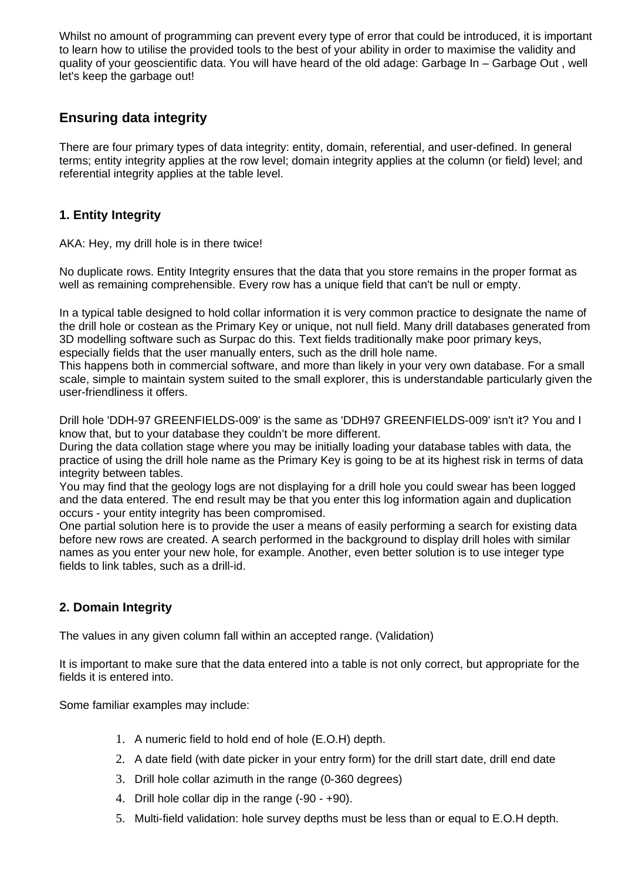Whilst no amount of programming can prevent every type of error that could be introduced, it is important to learn how to utilise the provided tools to the best of your ability in order to maximise the validity and quality of your geoscientific data. You will have heard of the old adage: Garbage In – Garbage Out , well let's keep the garbage out!

# **Ensuring data integrity**

There are four primary types of data integrity: entity, domain, referential, and user-defined. In general terms; entity integrity applies at the row level; domain integrity applies at the column (or field) level; and referential integrity applies at the table level.

# **1. Entity Integrity**

AKA: Hey, my drill hole is in there twice!

No duplicate rows. Entity Integrity ensures that the data that you store remains in the proper format as well as remaining comprehensible. Every row has a unique field that can't be null or empty.

In a typical table designed to hold collar information it is very common practice to designate the name of the drill hole or costean as the Primary Key or unique, not null field. Many drill databases generated from 3D modelling software such as Surpac do this. Text fields traditionally make poor primary keys, especially fields that the user manually enters, such as the drill hole name.

This happens both in commercial software, and more than likely in your very own database. For a small scale, simple to maintain system suited to the small explorer, this is understandable particularly given the user-friendliness it offers.

Drill hole 'DDH-97 GREENFIELDS-009' is the same as 'DDH97 GREENFIELDS-009' isn't it? You and I know that, but to your database they couldn't be more different.

During the data collation stage where you may be initially loading your database tables with data, the practice of using the drill hole name as the Primary Key is going to be at its highest risk in terms of data integrity between tables.

You may find that the geology logs are not displaying for a drill hole you could swear has been logged and the data entered. The end result may be that you enter this log information again and duplication occurs - your entity integrity has been compromised.

One partial solution here is to provide the user a means of easily performing a search for existing data before new rows are created. A search performed in the background to display drill holes with similar names as you enter your new hole, for example. Another, even better solution is to use integer type fields to link tables, such as a drill-id.

# **2. Domain Integrity**

The values in any given column fall within an accepted range. (Validation)

It is important to make sure that the data entered into a table is not only correct, but appropriate for the fields it is entered into.

Some familiar examples may include:

- 1. A numeric field to hold end of hole (E.O.H) depth.
- 2. A date field (with date picker in your entry form) for the drill start date, drill end date
- 3. Drill hole collar azimuth in the range (0-360 degrees)
- 4. Drill hole collar dip in the range (-90 +90).
- 5. Multi-field validation: hole survey depths must be less than or equal to E.O.H depth.